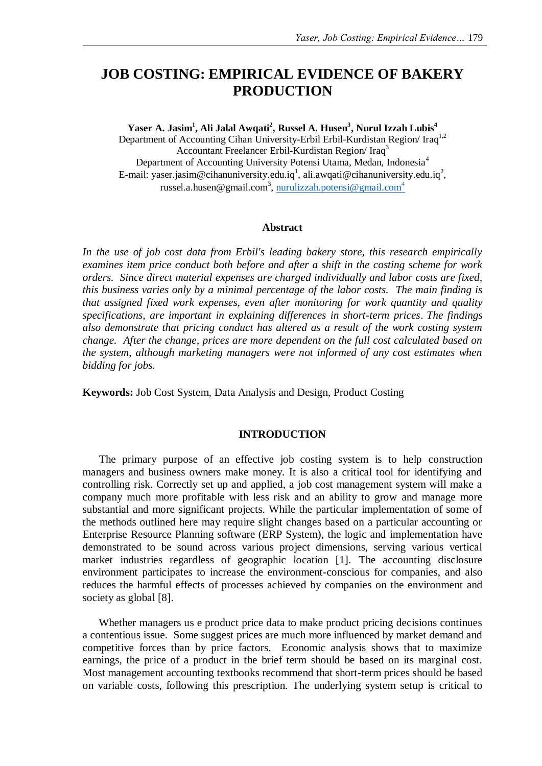# **JOB COSTING: EMPIRICAL EVIDENCE OF BAKERY PRODUCTION**

**Yaser A. Jasim<sup>1</sup> , Ali Jalal Awqati<sup>2</sup> , Russel A. Husen<sup>3</sup> , Nurul Izzah Lubis<sup>4</sup>** Department of Accounting Cihan University-Erbil Erbil-Kurdistan Region/ Iraq<sup>1,2</sup> Accountant Freelancer Erbil-Kurdistan Region/ Iraq<sup>3</sup> Department of Accounting University Potensi Utama, Medan, Indonesia<sup>4</sup> E-mail: [yaser.jasim@cihanuniversity.edu.iq](mailto:yaser.jasim@cihanuniversity.edu.iq1)<sup>1</sup>, [ali.awqati@cihanuniversity.edu.iq](mailto:ali.awqati@cihanuniversity.edu.iq2)<sup>2</sup>, [russel.a.husen@gmail.com](mailto:russel.a.husen@gmail.com3)<sup>3</sup>, [nurulizzah.potensi@gmail.com](mailto:nurulizzah.potensi@gmail.com4)<sup>4</sup>

### **Abstract**

*In the use of job cost data from Erbil's leading bakery store, this research empirically examines item price conduct both before and after a shift in the costing scheme for work orders. Since direct material expenses are charged individually and labor costs are fixed, this business varies only by a minimal percentage of the labor costs. The main finding is that assigned fixed work expenses, even after monitoring for work quantity and quality specifications, are important in explaining differences in short-term prices*. *The findings also demonstrate that pricing conduct has altered as a result of the work costing system change. After the change, prices are more dependent on the full cost calculated based on the system, although marketing managers were not informed of any cost estimates when bidding for jobs.*

**Keywords:** Job Cost System, Data Analysis and Design, Product Costing

### **INTRODUCTION**

The primary purpose of an effective job costing system is to help construction managers and business owners make money. It is also a critical tool for identifying and controlling risk. Correctly set up and applied, a job cost management system will make a company much more profitable with less risk and an ability to grow and manage more substantial and more significant projects. While the particular implementation of some of the methods outlined here may require slight changes based on a particular accounting or Enterprise Resource Planning software (ERP System), the logic and implementation have demonstrated to be sound across various project dimensions, serving various vertical market industries regardless of geographic location [1]. The accounting disclosure environment participates to increase the environment-conscious for companies, and also reduces the harmful effects of processes achieved by companies on the environment and society as global [8].

Whether managers us e product price data to make product pricing decisions continues a contentious issue. Some suggest prices are much more influenced by market demand and competitive forces than by price factors. Economic analysis shows that to maximize earnings, the price of a product in the brief term should be based on its marginal cost. Most management accounting textbooks recommend that short-term prices should be based on variable costs, following this prescription. The underlying system setup is critical to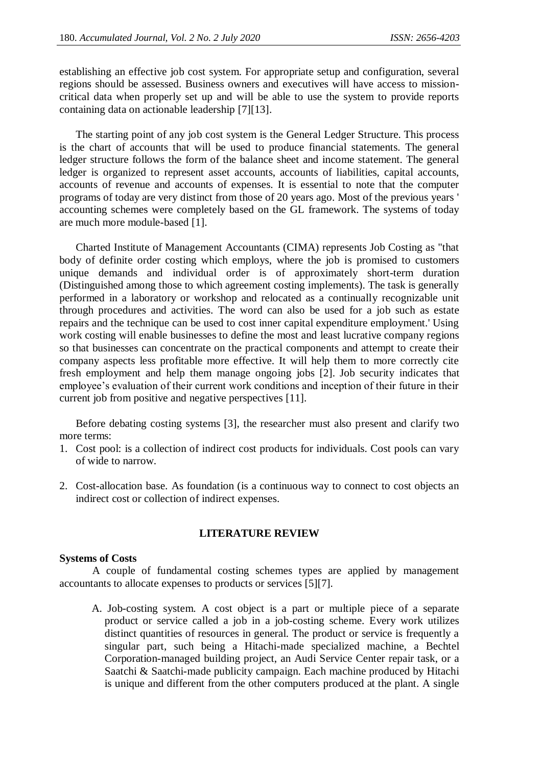establishing an effective job cost system. For appropriate setup and configuration, several regions should be assessed. Business owners and executives will have access to missioncritical data when properly set up and will be able to use the system to provide reports containing data on actionable leadership [7][13].

The starting point of any job cost system is the General Ledger Structure. This process is the chart of accounts that will be used to produce financial statements. The general ledger structure follows the form of the balance sheet and income statement. The general ledger is organized to represent asset accounts, accounts of liabilities, capital accounts, accounts of revenue and accounts of expenses. It is essential to note that the computer programs of today are very distinct from those of 20 years ago. Most of the previous years ' accounting schemes were completely based on the GL framework. The systems of today are much more module-based [1].

Charted Institute of Management Accountants (CIMA) represents Job Costing as "that body of definite order costing which employs, where the job is promised to customers unique demands and individual order is of approximately short-term duration (Distinguished among those to which agreement costing implements). The task is generally performed in a laboratory or workshop and relocated as a continually recognizable unit through procedures and activities. The word can also be used for a job such as estate repairs and the technique can be used to cost inner capital expenditure employment.' Using work costing will enable businesses to define the most and least lucrative company regions so that businesses can concentrate on the practical components and attempt to create their company aspects less profitable more effective. It will help them to more correctly cite fresh employment and help them manage ongoing jobs [2]. Job security indicates that employee's evaluation of their current work conditions and inception of their future in their current job from positive and negative perspectives [11].

Before debating costing systems [3], the researcher must also present and clarify two more terms:

- 1. Cost pool: is a collection of indirect cost products for individuals. Cost pools can vary of wide to narrow.
- 2. Cost-allocation base. As foundation (is a continuous way to connect to cost objects an indirect cost or collection of indirect expenses.

### **LITERATURE REVIEW**

### **Systems of Costs**

A couple of fundamental costing schemes types are applied by management accountants to allocate expenses to products or services [5][7].

A. Job-costing system. A cost object is a part or multiple piece of a separate product or service called a job in a job-costing scheme. Every work utilizes distinct quantities of resources in general. The product or service is frequently a singular part, such being a Hitachi-made specialized machine, a Bechtel Corporation-managed building project, an Audi Service Center repair task, or a Saatchi & Saatchi-made publicity campaign. Each machine produced by Hitachi is unique and different from the other computers produced at the plant. A single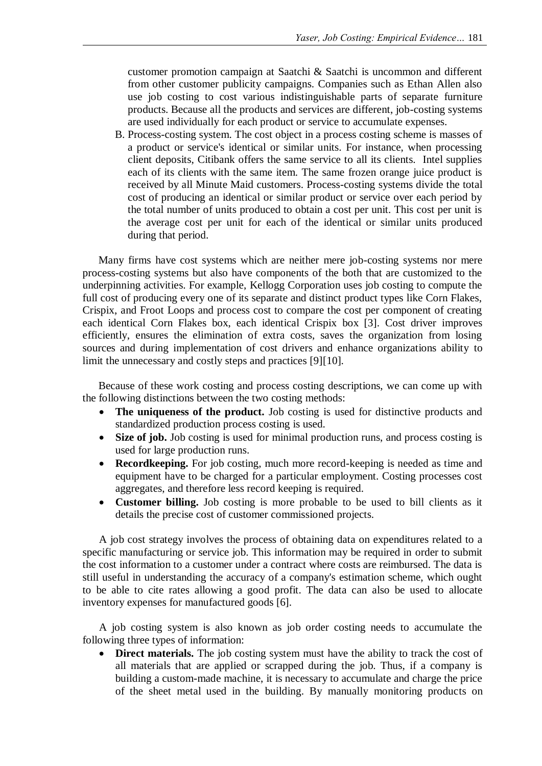customer promotion campaign at Saatchi & Saatchi is uncommon and different from other customer publicity campaigns. Companies such as Ethan Allen also use job costing to cost various indistinguishable parts of separate furniture products. Because all the products and services are different, job-costing systems are used individually for each product or service to accumulate expenses.

B. Process-costing system. The cost object in a process costing scheme is masses of a product or service's identical or similar units. For instance, when processing client deposits, Citibank offers the same service to all its clients. Intel supplies each of its clients with the same item. The same frozen orange juice product is received by all Minute Maid customers. Process-costing systems divide the total cost of producing an identical or similar product or service over each period by the total number of units produced to obtain a cost per unit. This cost per unit is the average cost per unit for each of the identical or similar units produced during that period.

Many firms have cost systems which are neither mere job-costing systems nor mere process-costing systems but also have components of the both that are customized to the underpinning activities. For example, Kellogg Corporation uses job costing to compute the full cost of producing every one of its separate and distinct product types like Corn Flakes, Crispix, and Froot Loops and process cost to compare the cost per component of creating each identical Corn Flakes box, each identical Crispix box [3]. Cost driver improves efficiently, ensures the elimination of extra costs, saves the organization from losing sources and during implementation of cost drivers and enhance organizations ability to limit the unnecessary and costly steps and practices [9][10].

Because of these work costing and process costing descriptions, we can come up with the following distinctions between the two costing methods:

- **The uniqueness of the product.** Job costing is used for distinctive products and standardized production process costing is used.
- Size of job. Job costing is used for minimal production runs, and process costing is used for large production runs.
- **Recordkeeping.** For job costing, much more record-keeping is needed as time and equipment have to be charged for a particular employment. Costing processes cost aggregates, and therefore less record keeping is required.
- **Customer billing.** Job costing is more probable to be used to bill clients as it details the precise cost of customer commissioned projects.

A job cost strategy involves the process of obtaining data on expenditures related to a specific manufacturing or service job. This information may be required in order to submit the cost information to a customer under a contract where costs are reimbursed. The data is still useful in understanding the accuracy of a company's estimation scheme, which ought to be able to cite rates allowing a good profit. The data can also be used to allocate inventory expenses for manufactured goods [6].

A job costing system is also known as job order costing needs to accumulate the following three types of information:

**Direct materials.** The job costing system must have the ability to track the cost of all materials that are applied or scrapped during the job. Thus, if a company is building a custom-made machine, it is necessary to accumulate and charge the price of the sheet metal used in the building. By manually monitoring products on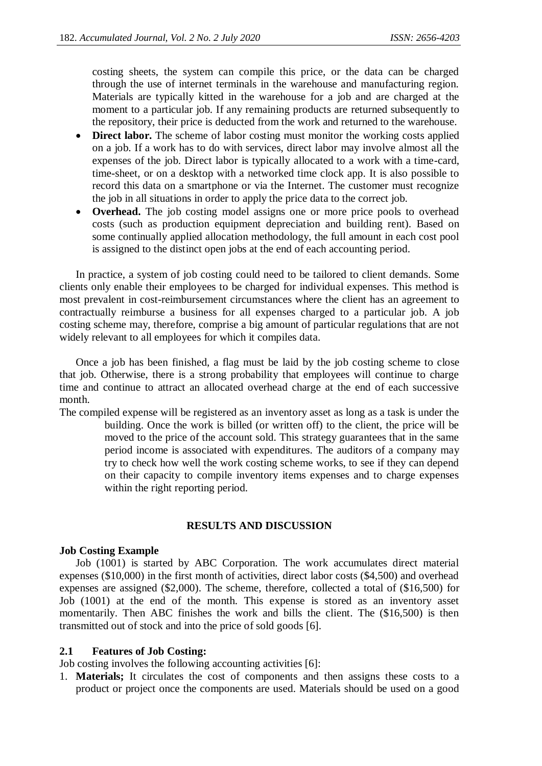costing sheets, the system can compile this price, or the data can be charged through the use of internet terminals in the warehouse and manufacturing region. Materials are typically kitted in the warehouse for a job and are charged at the moment to a particular job. If any remaining products are returned subsequently to the repository, their price is deducted from the work and returned to the warehouse.

- **Direct labor.** The scheme of labor costing must monitor the working costs applied on a job. If a work has to do with services, direct labor may involve almost all the expenses of the job. Direct labor is typically allocated to a work with a time-card, time-sheet, or on a desktop with a networked time clock app. It is also possible to record this data on a smartphone or via the Internet. The customer must recognize the job in all situations in order to apply the price data to the correct job.
- **Overhead.** The job costing model assigns one or more price pools to overhead costs (such as production equipment depreciation and building rent). Based on some continually applied allocation methodology, the full amount in each cost pool is assigned to the distinct open jobs at the end of each accounting period.

In practice, a system of job costing could need to be tailored to client demands. Some clients only enable their employees to be charged for individual expenses. This method is most prevalent in cost-reimbursement circumstances where the client has an agreement to contractually reimburse a business for all expenses charged to a particular job. A job costing scheme may, therefore, comprise a big amount of particular regulations that are not widely relevant to all employees for which it compiles data.

Once a job has been finished, a flag must be laid by the job costing scheme to close that job. Otherwise, there is a strong probability that employees will continue to charge time and continue to attract an allocated overhead charge at the end of each successive month.

The compiled expense will be registered as an inventory asset as long as a task is under the building. Once the work is billed (or written off) to the client, the price will be moved to the price of the account sold. This strategy guarantees that in the same period income is associated with expenditures. The auditors of a company may try to check how well the work costing scheme works, to see if they can depend on their capacity to compile inventory items expenses and to charge expenses within the right reporting period.

## **RESULTS AND DISCUSSION**

### **Job Costing Example**

Job (1001) is started by ABC Corporation. The work accumulates direct material expenses (\$10,000) in the first month of activities, direct labor costs (\$4,500) and overhead expenses are assigned (\$2,000). The scheme, therefore, collected a total of (\$16,500) for Job (1001) at the end of the month. This expense is stored as an inventory asset momentarily. Then ABC finishes the work and bills the client. The (\$16,500) is then transmitted out of stock and into the price of sold goods [6].

## **2.1 Features of Job Costing:**

Job costing involves the following accounting activities [6]:

1. **Materials;** It circulates the cost of components and then assigns these costs to a product or project once the components are used. Materials should be used on a good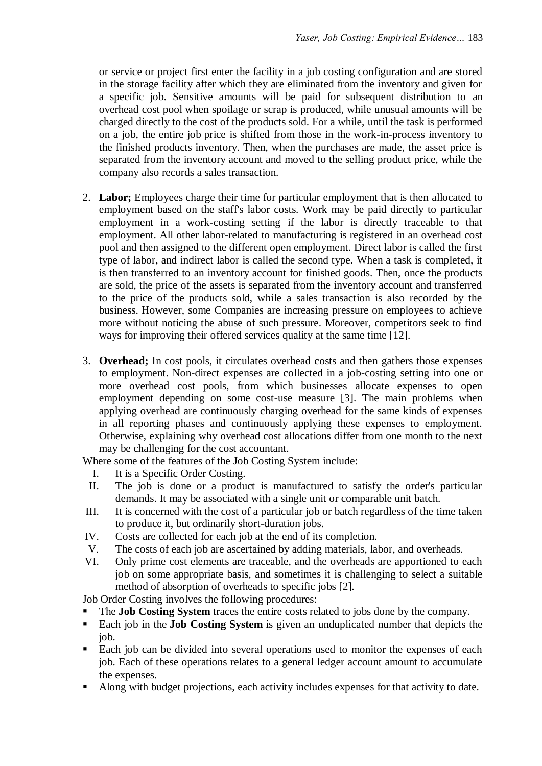or service or project first enter the facility in a job costing configuration and are stored in the storage facility after which they are eliminated from the inventory and given for a specific job. Sensitive amounts will be paid for subsequent distribution to an overhead cost pool when spoilage or scrap is produced, while unusual amounts will be charged directly to the cost of the products sold. For a while, until the task is performed on a job, the entire job price is shifted from those in the work-in-process inventory to the finished products inventory. Then, when the purchases are made, the asset price is separated from the inventory account and moved to the selling product price, while the company also records a sales transaction.

- 2. **Labor;** Employees charge their time for particular employment that is then allocated to employment based on the staff's labor costs. Work may be paid directly to particular employment in a work-costing setting if the labor is directly traceable to that employment. All other labor-related to manufacturing is registered in an overhead cost pool and then assigned to the different open employment. Direct labor is called the first type of labor, and indirect labor is called the second type. When a task is completed, it is then transferred to an inventory account for finished goods. Then, once the products are sold, the price of the assets is separated from the inventory account and transferred to the price of the products sold, while a sales transaction is also recorded by the business. However, some Companies are increasing pressure on employees to achieve more without noticing the abuse of such pressure. Moreover, competitors seek to find ways for improving their offered services quality at the same time [12].
- 3. **Overhead;** In cost pools, it circulates overhead costs and then gathers those expenses to employment. Non-direct expenses are collected in a job-costing setting into one or more overhead cost pools, from which businesses allocate expenses to open employment depending on some cost-use measure [3]. The main problems when applying overhead are continuously charging overhead for the same kinds of expenses in all reporting phases and continuously applying these expenses to employment. Otherwise, explaining why overhead cost allocations differ from one month to the next may be challenging for the cost accountant.

Where some of the features of the Job Costing System include:

- I. It is a Specific Order Costing.
- II. The job is done or a product is manufactured to satisfy the order's particular demands. It may be associated with a single unit or comparable unit batch.
- III. It is concerned with the cost of a particular job or batch regardless of the time taken to produce it, but ordinarily short-duration jobs.
- IV. Costs are collected for each job at the end of its completion.
- V. The costs of each job are ascertained by adding materials, labor, and overheads.
- VI. Only prime cost elements are traceable, and the overheads are apportioned to each job on some appropriate basis, and sometimes it is challenging to select a suitable method of absorption of overheads to specific jobs [2].

Job Order Costing involves the following procedures:

- The **Job Costing System** traces the entire costs related to jobs done by the company.
- Each job in the **Job Costing System** is given an unduplicated number that depicts the job.
- Each job can be divided into several operations used to monitor the expenses of each job. Each of these operations relates to a general ledger account amount to accumulate the expenses.
- Along with budget projections, each activity includes expenses for that activity to date.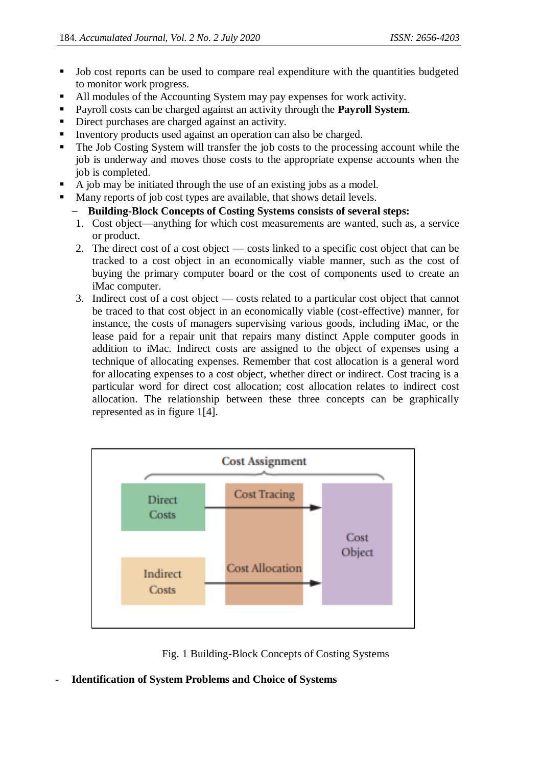- Job cost reports can be used to compare real expenditure with the quantities budgeted to monitor work progress.
- All modules of the Accounting System may pay expenses for work activity.
- Payroll costs can be charged against an activity through the **Payroll System***.*
- Direct purchases are charged against an activity.
- Inventory products used against an operation can also be charged.
- The Job Costing System will transfer the job costs to the processing account while the job is underway and moves those costs to the appropriate expense accounts when the job is completed.
- A job may be initiated through the use of an existing jobs as a model.
- Many reports of job cost types are available, that shows detail levels.

# **Building-Block Concepts of Costing Systems consists of several steps:**

- 1. Cost object—anything for which cost measurements are wanted, such as, a service or product.
- 2. The direct cost of a cost object costs linked to a specific cost object that can be tracked to a cost object in an economically viable manner, such as the cost of buying the primary computer board or the cost of components used to create an iMac computer.
- 3. Indirect cost of a cost object costs related to a particular cost object that cannot be traced to that cost object in an economically viable (cost-effective) manner, for instance, the costs of managers supervising various goods, including iMac, or the lease paid for a repair unit that repairs many distinct Apple computer goods in addition to iMac. Indirect costs are assigned to the object of expenses using a technique of allocating expenses. Remember that cost allocation is a general word for allocating expenses to a cost object, whether direct or indirect. Cost tracing is a particular word for direct cost allocation; cost allocation relates to indirect cost allocation. The relationship between these three concepts can be graphically represented as in figure 1[4].



Fig. 1 Building-Block Concepts of Costing Systems

**- Identification of System Problems and Choice of Systems**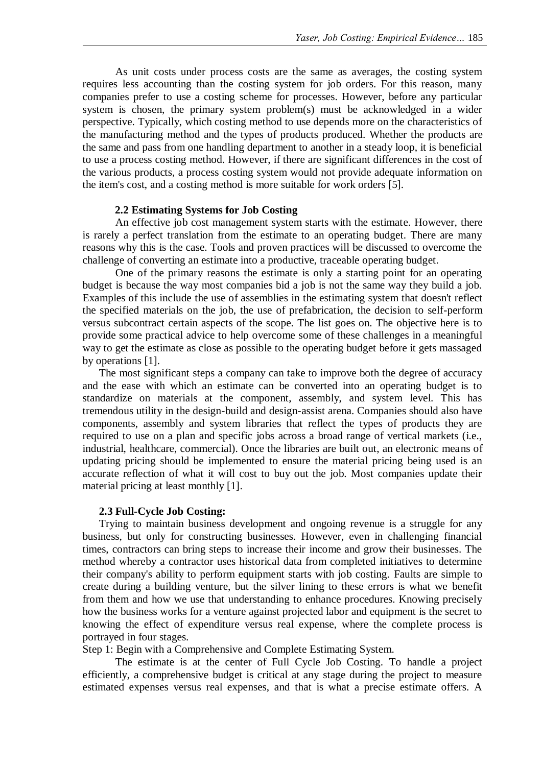As unit costs under process costs are the same as averages, the costing system requires less accounting than the costing system for job orders. For this reason, many companies prefer to use a costing scheme for processes. However, before any particular system is chosen, the primary system problem(s) must be acknowledged in a wider perspective. Typically, which costing method to use depends more on the characteristics of the manufacturing method and the types of products produced. Whether the products are the same and pass from one handling department to another in a steady loop, it is beneficial to use a process costing method. However, if there are significant differences in the cost of the various products, a process costing system would not provide adequate information on the item's cost, and a costing method is more suitable for work orders [5].

### **2.2 Estimating Systems for Job Costing**

An effective job cost management system starts with the estimate. However, there is rarely a perfect translation from the estimate to an operating budget. There are many reasons why this is the case. Tools and proven practices will be discussed to overcome the challenge of converting an estimate into a productive, traceable operating budget.

One of the primary reasons the estimate is only a starting point for an operating budget is because the way most companies bid a job is not the same way they build a job. Examples of this include the use of assemblies in the estimating system that doesn't reflect the specified materials on the job, the use of prefabrication, the decision to self-perform versus subcontract certain aspects of the scope. The list goes on. The objective here is to provide some practical advice to help overcome some of these challenges in a meaningful way to get the estimate as close as possible to the operating budget before it gets massaged by operations [1].

The most significant steps a company can take to improve both the degree of accuracy and the ease with which an estimate can be converted into an operating budget is to standardize on materials at the component, assembly, and system level. This has tremendous utility in the design-build and design-assist arena. Companies should also have components, assembly and system libraries that reflect the types of products they are required to use on a plan and specific jobs across a broad range of vertical markets (i.e., industrial, healthcare, commercial). Once the libraries are built out, an electronic means of updating pricing should be implemented to ensure the material pricing being used is an accurate reflection of what it will cost to buy out the job. Most companies update their material pricing at least monthly [1].

### **2.3 Full-Cycle Job Costing:**

Trying to maintain business development and ongoing revenue is a struggle for any business, but only for constructing businesses. However, even in challenging financial times, contractors can bring steps to increase their income and grow their businesses. The method whereby a contractor uses historical data from completed initiatives to determine their company's ability to perform equipment starts with job costing. Faults are simple to create during a building venture, but the silver lining to these errors is what we benefit from them and how we use that understanding to enhance procedures. Knowing precisely how the business works for a venture against projected labor and equipment is the secret to knowing the effect of expenditure versus real expense, where the complete process is portrayed in four stages.

Step 1: Begin with a Comprehensive and Complete Estimating System.

The estimate is at the center of Full Cycle Job Costing. To handle a project efficiently, a comprehensive budget is critical at any stage during the project to measure estimated expenses versus real expenses, and that is what a precise estimate offers. A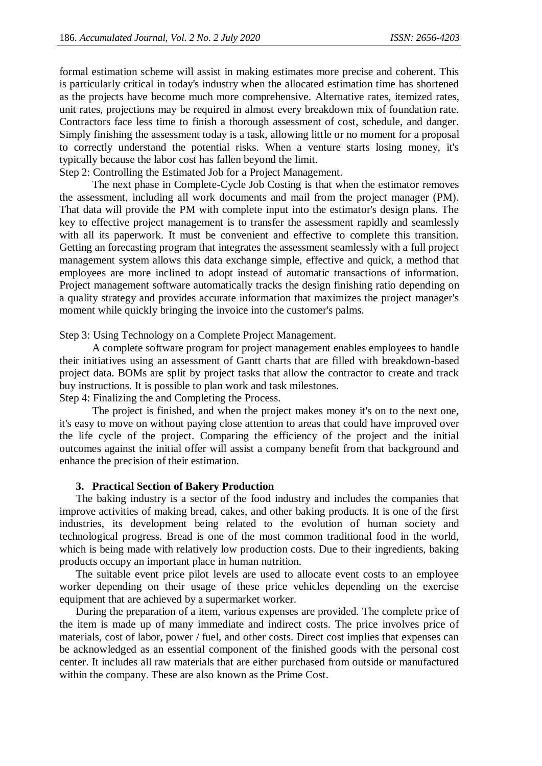formal estimation scheme will assist in making estimates more precise and coherent. This is particularly critical in today's industry when the allocated estimation time has shortened as the projects have become much more comprehensive. Alternative rates, itemized rates, unit rates, projections may be required in almost every breakdown mix of foundation rate. Contractors face less time to finish a thorough assessment of cost, schedule, and danger. Simply finishing the assessment today is a task, allowing little or no moment for a proposal to correctly understand the potential risks. When a venture starts losing money, it's typically because the labor cost has fallen beyond the limit.

Step 2: Controlling the Estimated Job for a Project Management.

The next phase in Complete-Cycle Job Costing is that when the estimator removes the assessment, including all work documents and mail from the project manager (PM). That data will provide the PM with complete input into the estimator's design plans. The key to effective project management is to transfer the assessment rapidly and seamlessly with all its paperwork. It must be convenient and effective to complete this transition. Getting an forecasting program that integrates the assessment seamlessly with a full project management system allows this data exchange simple, effective and quick, a method that employees are more inclined to adopt instead of automatic transactions of information. Project management software automatically tracks the design finishing ratio depending on a quality strategy and provides accurate information that maximizes the project manager's moment while quickly bringing the invoice into the customer's palms.

Step 3: Using Technology on a Complete Project Management.

A complete software program for project management enables employees to handle their initiatives using an assessment of Gantt charts that are filled with breakdown-based project data. BOMs are split by project tasks that allow the contractor to create and track buy instructions. It is possible to plan work and task milestones.

Step 4: Finalizing the and Completing the Process.

The project is finished, and when the project makes money it's on to the next one, it's easy to move on without paying close attention to areas that could have improved over the life cycle of the project. Comparing the efficiency of the project and the initial outcomes against the initial offer will assist a company benefit from that background and enhance the precision of their estimation.

### **3. Practical Section of Bakery Production**

The baking industry is a sector of the food industry and includes the companies that improve activities of making bread, cakes, and other baking products. It is one of the first industries, its development being related to the evolution of human society and technological progress. Bread is one of the most common traditional food in the world, which is being made with relatively low production costs. Due to their ingredients, baking products occupy an important place in human nutrition.

The suitable event price pilot levels are used to allocate event costs to an employee worker depending on their usage of these price vehicles depending on the exercise equipment that are achieved by a supermarket worker.

During the preparation of a item, various expenses are provided. The complete price of the item is made up of many immediate and indirect costs. The price involves price of materials, cost of labor, power / fuel, and other costs. Direct cost implies that expenses can be acknowledged as an essential component of the finished goods with the personal cost center. It includes all raw materials that are either purchased from outside or manufactured within the company. These are also known as the Prime Cost.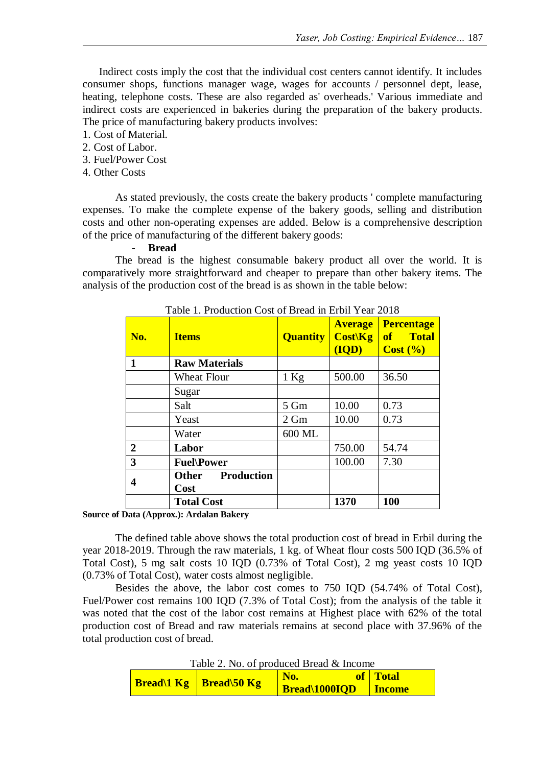Indirect costs imply the cost that the individual cost centers cannot identify. It includes consumer shops, functions manager wage, wages for accounts / personnel dept, lease, heating, telephone costs. These are also regarded as' overheads.' Various immediate and indirect costs are experienced in bakeries during the preparation of the bakery products. The price of manufacturing bakery products involves:

- 1. Cost of Material.
- 2. Cost of Labor.
- 3. Fuel/Power Cost
- 4. Other Costs

As stated previously, the costs create the bakery products ' complete manufacturing expenses. To make the complete expense of the bakery goods, selling and distribution costs and other non-operating expenses are added. Below is a comprehensive description of the price of manufacturing of the different bakery goods:

### **- Bread**

The bread is the highest consumable bakery product all over the world. It is comparatively more straightforward and cheaper to prepare than other bakery items. The analysis of the production cost of the bread is as shown in the table below:

| No.            | <b>Items</b>                              | <b>Quantity</b> | <b>Average</b><br>Cost(Kg)<br>(IQD) | <b>Percentage</b><br><b>Total</b><br><b>of</b><br>Cost (%) |
|----------------|-------------------------------------------|-----------------|-------------------------------------|------------------------------------------------------------|
| 1              | <b>Raw Materials</b>                      |                 |                                     |                                                            |
|                | Wheat Flour                               | $1$ Kg          | 500.00                              | 36.50                                                      |
|                | Sugar                                     |                 |                                     |                                                            |
|                | Salt                                      | 5 Gm            | 10.00                               | 0.73                                                       |
|                | Yeast                                     | $2 \text{ Gm}$  | 10.00                               | 0.73                                                       |
|                | Water                                     | 600 ML          |                                     |                                                            |
| $\overline{2}$ | Labor                                     |                 | 750.00                              | 54.74                                                      |
| 3              | <b>Fuel\Power</b>                         |                 | 100.00                              | 7.30                                                       |
| 4              | <b>Other</b><br><b>Production</b><br>Cost |                 |                                     |                                                            |
|                | <b>Total Cost</b>                         |                 | 1370                                | 100                                                        |

Table 1. Production Cost of Bread in Erbil Year 2018

#### **Source of Data (Approx.): Ardalan Bakery**

The defined table above shows the total production cost of bread in Erbil during the year 2018-2019. Through the raw materials, 1 kg. of Wheat flour costs 500 IQD (36.5% of Total Cost), 5 mg salt costs 10 IQD (0.73% of Total Cost), 2 mg yeast costs 10 IQD (0.73% of Total Cost), water costs almost negligible.

Besides the above, the labor cost comes to 750 IQD (54.74% of Total Cost), Fuel/Power cost remains 100 IQD (7.3% of Total Cost); from the analysis of the table it was noted that the cost of the labor cost remains at Highest place with 62% of the total production cost of Bread and raw materials remains at second place with 37.96% of the total production cost of bread.

Table 2. No. of produced Bread & Income

| $1400C$ $\mu$ , $130$ , $01$ produced Dread eq. Income |                                 |               |               |  |  |  |
|--------------------------------------------------------|---------------------------------|---------------|---------------|--|--|--|
|                                                        | <b>Bread</b> I Kg   Bread 50 Kg | No.           | of Total      |  |  |  |
|                                                        |                                 | Bread\1000IQD | <b>Income</b> |  |  |  |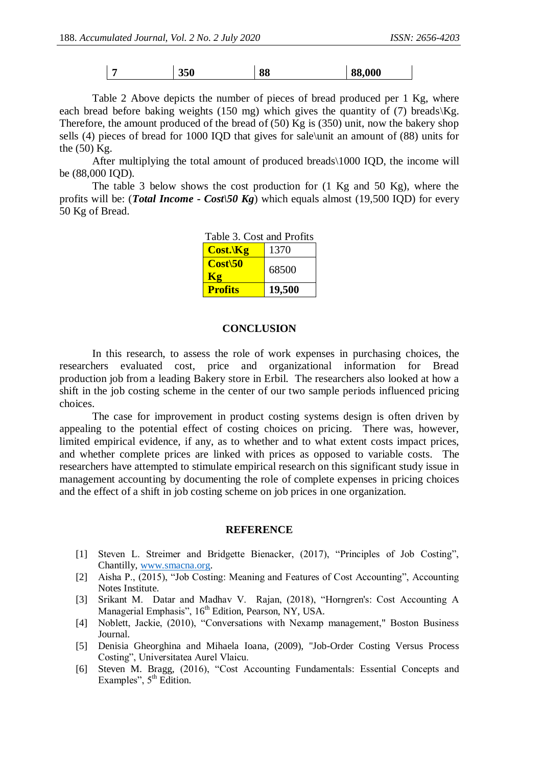| ,000<br>350<br>лл<br>99 |
|-------------------------|
|-------------------------|

Table 2 Above depicts the number of pieces of bread produced per 1 Kg, where each bread before baking weights (150 mg) which gives the quantity of (7) breads\Kg. Therefore, the amount produced of the bread of (50) Kg is (350) unit, now the bakery shop sells (4) pieces of bread for 1000 IQD that gives for sale\unit an amount of (88) units for the (50) Kg.

After multiplying the total amount of produced breads\1000 IQD, the income will be (88,000 IQD).

The table 3 below shows the cost production for (1 Kg and 50 Kg), where the profits will be: (*Total Income - Cost\50 Kg*) which equals almost (19,500 IQD) for every 50 Kg of Bread.

| Table 3. Cost and Profits     |        |  |  |  |
|-------------------------------|--------|--|--|--|
| $Cost.\$                      | 1370   |  |  |  |
| $Cost\setminus 50$<br>$K_{2}$ | 68500  |  |  |  |
| <b>Profits</b>                | 19,500 |  |  |  |

### **CONCLUSION**

In this research, to assess the role of work expenses in purchasing choices, the researchers evaluated cost, price and organizational information for Bread production job from a leading Bakery store in Erbil. The researchers also looked at how a shift in the job costing scheme in the center of our two sample periods influenced pricing choices.

The case for improvement in product costing systems design is often driven by appealing to the potential effect of costing choices on pricing. There was, however, limited empirical evidence, if any, as to whether and to what extent costs impact prices, and whether complete prices are linked with prices as opposed to variable costs. The researchers have attempted to stimulate empirical research on this significant study issue in management accounting by documenting the role of complete expenses in pricing choices and the effect of a shift in job costing scheme on job prices in one organization.

### **REFERENCE**

- [1] Steven L. Streimer and Bridgette Bienacker, (2017), "Principles of Job Costing", Chantilly, [www.smacna.org.](http://www.smacna.org/)
- [2] Aisha P., (2015), "Job Costing: Meaning and Features of Cost Accounting", Accounting Notes Institute.
- [3] Srikant M. Datar and Madhav V. Rajan, (2018), "Horngren's: Cost Accounting A Managerial Emphasis", 16<sup>th</sup> Edition, Pearson, NY, USA.
- [4] Noblett, Jackie, (2010), "Conversations with Nexamp management," Boston Business Journal.
- [5] Denisia Gheorghina and Mihaela Ioana, (2009), "Job-Order Costing Versus Process Costing", Universitatea Aurel Vlaicu.
- [6] Steven M. Bragg, (2016), "Cost Accounting Fundamentals: Essential Concepts and Examples",  $5<sup>th</sup>$  Edition.